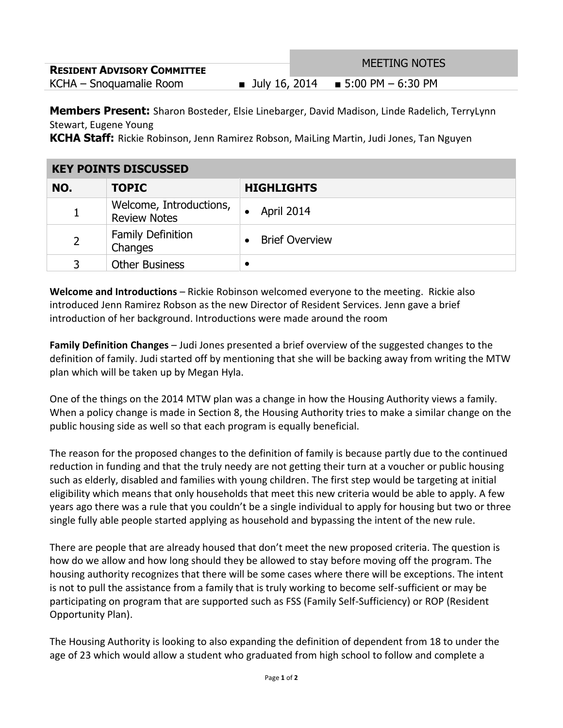| <b>RESIDENT ADVISORY COMMITTEE</b> | <b>MEETING NOTES</b>                  |  |
|------------------------------------|---------------------------------------|--|
| KCHA – Snoquamalie Room            | ■ July 16, 2014 ■ 5:00 PM $-$ 6:30 PM |  |

**Members Present:** Sharon Bosteder, Elsie Linebarger, David Madison, Linde Radelich, TerryLynn Stewart, Eugene Young

**KCHA Staff:** Rickie Robinson, Jenn Ramirez Robson, MaiLing Martin, Judi Jones, Tan Nguyen

| <b>KEY POINTS DISCUSSED</b> |                                                |                       |
|-----------------------------|------------------------------------------------|-----------------------|
| NO.                         | <b>TOPIC</b>                                   | <b>HIGHLIGHTS</b>     |
|                             | Welcome, Introductions,<br><b>Review Notes</b> | April 2014            |
| $\overline{2}$              | <b>Family Definition</b><br>Changes            | <b>Brief Overview</b> |
| 3                           | <b>Other Business</b>                          |                       |

**Welcome and Introductions** – Rickie Robinson welcomed everyone to the meeting. Rickie also introduced Jenn Ramirez Robson as the new Director of Resident Services. Jenn gave a brief introduction of her background. Introductions were made around the room

**Family Definition Changes** – Judi Jones presented a brief overview of the suggested changes to the definition of family. Judi started off by mentioning that she will be backing away from writing the MTW plan which will be taken up by Megan Hyla.

One of the things on the 2014 MTW plan was a change in how the Housing Authority views a family. When a policy change is made in Section 8, the Housing Authority tries to make a similar change on the public housing side as well so that each program is equally beneficial.

The reason for the proposed changes to the definition of family is because partly due to the continued reduction in funding and that the truly needy are not getting their turn at a voucher or public housing such as elderly, disabled and families with young children. The first step would be targeting at initial eligibility which means that only households that meet this new criteria would be able to apply. A few years ago there was a rule that you couldn't be a single individual to apply for housing but two or three single fully able people started applying as household and bypassing the intent of the new rule.

There are people that are already housed that don't meet the new proposed criteria. The question is how do we allow and how long should they be allowed to stay before moving off the program. The housing authority recognizes that there will be some cases where there will be exceptions. The intent is not to pull the assistance from a family that is truly working to become self-sufficient or may be participating on program that are supported such as FSS (Family Self-Sufficiency) or ROP (Resident Opportunity Plan).

The Housing Authority is looking to also expanding the definition of dependent from 18 to under the age of 23 which would allow a student who graduated from high school to follow and complete a